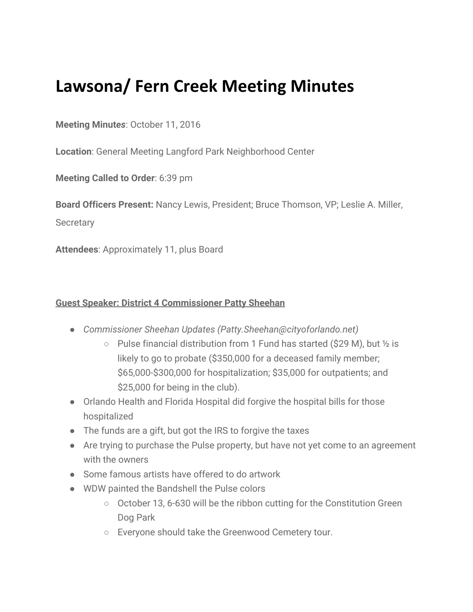## **Lawsona/ Fern Creek Meeting Minutes**

## **Meeting Minut***es*: October 11, 2016

**Location**: General Meeting Langford Park Neighborhood Center

**Meeting Called to Order**: 6:39 pm

**Board Officers Present:** Nancy Lewis, President; Bruce Thomson, VP; Leslie A. Miller,

**Secretary** 

**Attendees**: Approximately 11, plus Board

## **Guest Speaker: District 4 Commissioner Patty Sheehan**

- *Commissioner Sheehan Updates (Patty.Sheehan@cityoforlando.net)*
	- Pulse financial distribution from 1 Fund has started (\$29 M), but ½ is likely to go to probate (\$350,000 for a deceased family member; \$65,000-\$300,000 for hospitalization; \$35,000 for outpatients; and \$25,000 for being in the club).
- Orlando Health and Florida Hospital did forgive the hospital bills for those hospitalized
- The funds are a gift, but got the IRS to forgive the taxes
- Are trying to purchase the Pulse property, but have not yet come to an agreement with the owners
- Some famous artists have offered to do artwork
- WDW painted the Bandshell the Pulse colors
	- October 13, 6-630 will be the ribbon cutting for the Constitution Green Dog Park
	- Everyone should take the Greenwood Cemetery tour.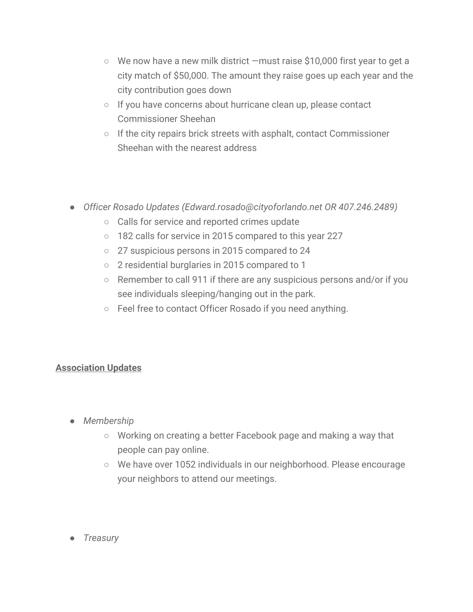- We now have a new milk district —must raise \$10,000 first year to get a city match of \$50,000. The amount they raise goes up each year and the city contribution goes down
- If you have concerns about hurricane clean up, please contact Commissioner Sheehan
- If the city repairs brick streets with asphalt, contact Commissioner Sheehan with the nearest address
- *Officer Rosado Updates (Edward.rosado@cityoforlando.net OR 407.246.2489)*
	- Calls for service and reported crimes update
	- 182 calls for service in 2015 compared to this year 227
	- 27 suspicious persons in 2015 compared to 24
	- 2 residential burglaries in 2015 compared to 1
	- Remember to call 911 if there are any suspicious persons and/or if you see individuals sleeping/hanging out in the park.
	- Feel free to contact Officer Rosado if you need anything.

## **Association Updates**

- *Membership*
	- Working on creating a better Facebook page and making a way that people can pay online.
	- We have over 1052 individuals in our neighborhood. Please encourage your neighbors to attend our meetings.
- *Treasury*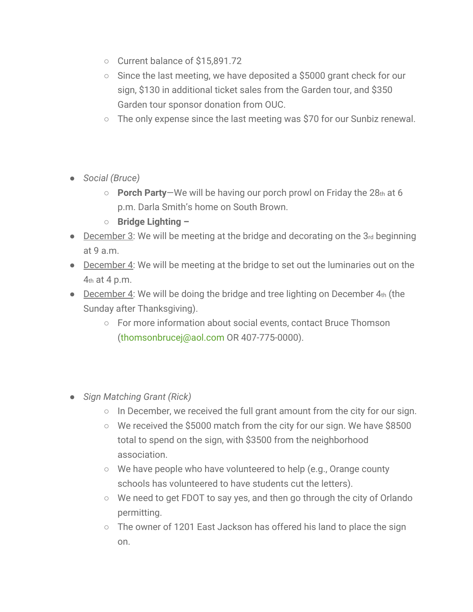- Current balance of \$15,891.72
- $\circ$  Since the last meeting, we have deposited a \$5000 grant check for our sign, \$130 in additional ticket sales from the Garden tour, and \$350 Garden tour sponsor donation from OUC.
- The only expense since the last meeting was \$70 for our Sunbiz renewal.
- *Social (Bruce)*
	- **Porch Party**—We will be having our porch prowl on Friday the 28th at 6 p.m. Darla Smith's home on South Brown.
	- **Bridge Lighting –**
- December 3: We will be meeting at the bridge and decorating on the 3rd beginning at 9 a.m.
- December 4: We will be meeting at the bridge to set out the luminaries out on the 4th at 4 p.m.
- December 4: We will be doing the bridge and tree lighting on December  $4<sub>th</sub>$  (the Sunday after Thanksgiving).
	- For more information about social events, contact Bruce Thomson (thomsonbrucej@aol.com OR 407-775-0000).
- *Sign Matching Grant (Rick)*
	- In December, we received the full grant amount from the city for our sign.
	- We received the \$5000 match from the city for our sign. We have \$8500 total to spend on the sign, with \$3500 from the neighborhood association.
	- We have people who have volunteered to help (e.g., Orange county schools has volunteered to have students cut the letters).
	- We need to get FDOT to say yes, and then go through the city of Orlando permitting.
	- The owner of 1201 East Jackson has offered his land to place the sign on.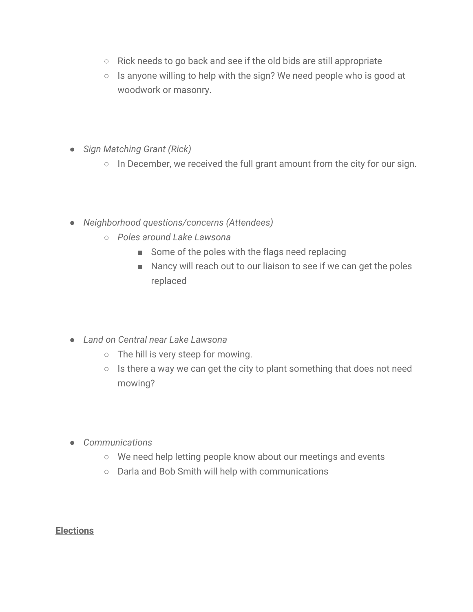- Rick needs to go back and see if the old bids are still appropriate
- Is anyone willing to help with the sign? We need people who is good at woodwork or masonry.
- *Sign Matching Grant (Rick)*
	- In December, we received the full grant amount from the city for our sign.
- *Neighborhood questions/concerns (Attendees)*
	- *Poles around Lake Lawsona*
		- Some of the poles with the flags need replacing
		- Nancy will reach out to our liaison to see if we can get the poles replaced
- *Land on Central near Lake Lawsona*
	- The hill is very steep for mowing.
	- Is there a way we can get the city to plant something that does not need mowing?
- *Communications*
	- We need help letting people know about our meetings and events
	- Darla and Bob Smith will help with communications

**Elections**